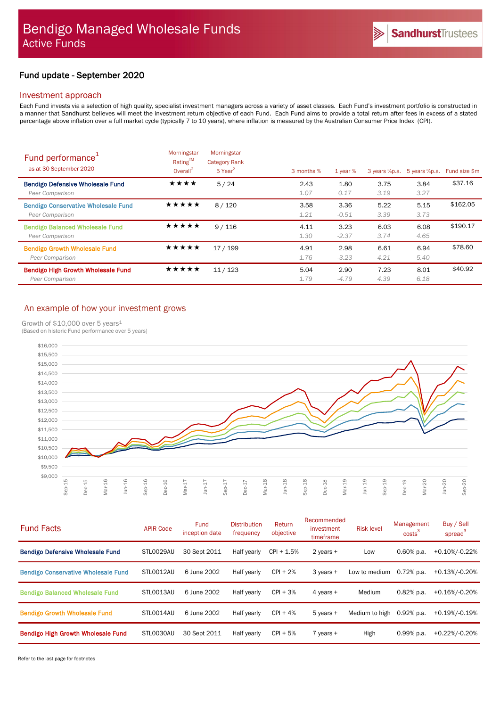# Fund update - September 2020

## Investment approach

Each Fund invests via a selection of high quality, specialist investment managers across a variety of asset classes. Each Fund's investment portfolio is constructed in a manner that Sandhurst believes will meet the investment return objective of each Fund. Each Fund aims to provide a total return after fees in excess of a stated percentage above inflation over a full market cycle (typically 7 to 10 years), where inflation is measured by the Australian Consumer Price Index (CPI).

| Fund performance <sup>1</sup><br>as at 30 September 2020      | Morningstar<br>Rating™<br>Overall <sup>2</sup> | Morningstar<br><b>Category Rank</b><br>5 Year <sup>2</sup> | 3 months %   | $1$ year $%$    | 3 years %p.a. | 5 years %p.a. | Fund size \$m |
|---------------------------------------------------------------|------------------------------------------------|------------------------------------------------------------|--------------|-----------------|---------------|---------------|---------------|
| <b>Bendigo Defensive Wholesale Fund</b><br>Peer Comparison    | ★★★★                                           | 5/24                                                       | 2.43<br>1.07 | 1.80<br>0.17    | 3.75<br>3.19  | 3.84<br>3.27  | \$37.16       |
| <b>Bendigo Conservative Wholesale Fund</b><br>Peer Comparison | ★★★★★                                          | 8/120                                                      | 3.58<br>1.21 | 3.36<br>$-0.51$ | 5.22<br>3.39  | 5.15<br>3.73  | \$162.05      |
| <b>Bendigo Balanced Wholesale Fund</b><br>Peer Comparison     | ★★★★★                                          | 9/116                                                      | 4.11<br>1.30 | 3.23<br>$-2.37$ | 6.03<br>3.74  | 6.08<br>4.65  | \$190.17      |
| <b>Bendigo Growth Wholesale Fund</b><br>Peer Comparison       | ★★★★★                                          | 17/199                                                     | 4.91<br>1.76 | 2.98<br>$-3.23$ | 6.61<br>4.21  | 6.94<br>5.40  | \$78.60       |
| <b>Bendigo High Growth Wholesale Fund</b><br>Peer Comparison  | ★★★★★                                          | 11/123                                                     | 5.04<br>1.79 | 2.90<br>$-4.79$ | 7.23<br>4.39  | 8.01<br>6.18  | \$40.92       |

## An example of how your investment grows

Growth of  $$10,000$  over 5 years<sup>1</sup>



| <b>Fund Facts</b>                          | <b>APIR Code</b> | <b>Fund</b><br>inception date | <b>Distribution</b><br>frequency | Return<br>objective | Recommended<br>investment<br>timeframe | <b>Risk level</b> | Management<br>costs <sup>3</sup> | Buy / Sell<br>spread <sup>3</sup> |
|--------------------------------------------|------------------|-------------------------------|----------------------------------|---------------------|----------------------------------------|-------------------|----------------------------------|-----------------------------------|
| <b>Bendigo Defensive Wholesale Fund</b>    | STL0029AU        | 30 Sept 2011                  | Half yearly                      | $CPI + 1.5%$        | 2 years $+$                            | Low               | $0.60\%$ p.a.                    | +0.10%/-0.22%                     |
| <b>Bendigo Conservative Wholesale Fund</b> | STL0012AU        | 6 June 2002                   | Half yearly                      | $CPI + 2%$          | $3$ years $+$                          | Low to medium     | $0.72%$ p.a.                     | +0.13%/-0.20%                     |
| <b>Bendigo Balanced Wholesale Fund</b>     | STL0013AU        | 6 June 2002                   | Half yearly                      | $CPI + 3%$          | 4 years +                              | Medium            | $0.82%$ p.a.                     | +0.16%/-0.20%                     |
| <b>Bendigo Growth Wholesale Fund</b>       | STLO014AU        | 6 June 2002                   | Half yearly                      | $CPI + 4%$          | $5$ years $+$                          | Medium to high    | $0.92%$ p.a.                     | +0.19%/-0.19%                     |
| <b>Bendigo High Growth Wholesale Fund</b>  | STL0030AU        | 30 Sept 2011                  | Half yearly                      | $CPI + 5%$          | $7$ years $+$                          | High              | $0.99%$ p.a.                     | +0.22%/-0.20%                     |

Refer to the last page for footnotes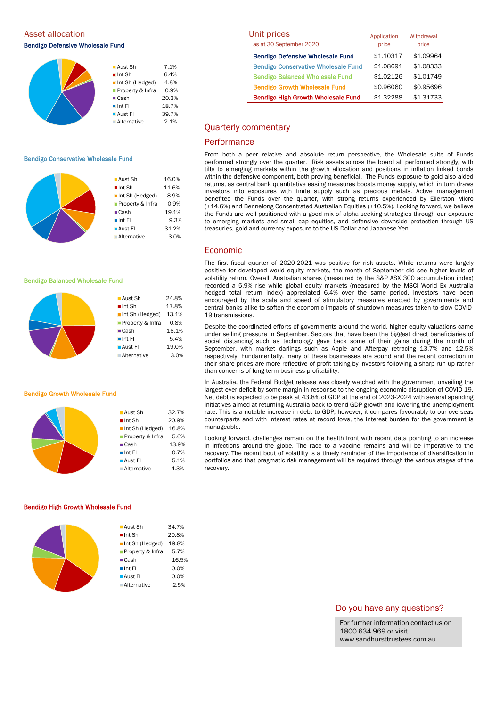Asset allocation Bendigo Defensive Wholesale Fund

| $\blacksquare$ Aust Sh | 7.1%  |
|------------------------|-------|
| $\blacksquare$ Int Sh  | 6.4%  |
| Int Sh (Hedged)        | 4.8%  |
| Property & Infra       | 0.9%  |
| $\blacksquare$ Cash    | 20.3% |
| $\blacksquare$ Int FI  | 18.7% |
| <b>Aust FI</b>         | 39.7% |
| Alternative            | 2.1%  |

### Bendigo Conservative Wholesale Fund



**Aust Sh** 24.8%  $\blacksquare$  Int Sh  $17.8\%$ Int Sh (Hedged) 13.1% **Property & Infra** 0.8% ■ Cash 16.1%  $\blacksquare$  Int FI 5.4% **Aust FI** 19.0% Alternative 3.0%

**Aust Sh** 32.7%  $\blacksquare$  Int Sh 20.9% Int Sh (Hedged) 16.8% Property & Infra 5.6% ■ Cash 13.9%  $\blacksquare$  Int FI 0.7%  $\blacksquare$  Aust FI 5.1% Alternative 4.3%

### Bendigo Balanced Wholesale Fund



### Bendigo Growth Wholesale Fund

#### Bendigo High Growth Wholesale Fund

| $\blacksquare$ Aust Sh | 34.7% |
|------------------------|-------|
| $\blacksquare$ Int Sh  | 20.8% |
| Int Sh (Hedged)        | 19.8% |
| Property & Infra       | 5.7%  |
| $\blacksquare$ Cash    | 16.5% |
| $\blacksquare$ Int FI  | 0.0%  |
| $\blacksquare$ Aust FI | 0.0%  |
| Alternative            | 2.5%  |
|                        |       |

| Unit prices                                | Application | Withdrawal |  |
|--------------------------------------------|-------------|------------|--|
| as at 30 September 2020                    | price       | price      |  |
| <b>Bendigo Defensive Wholesale Fund</b>    | \$1.10317   | \$1.09964  |  |
| <b>Bendigo Conservative Wholesale Fund</b> | \$1.08691   | \$1.08333  |  |
| <b>Bendigo Balanced Wholesale Fund</b>     | \$1.02126   | \$1.01749  |  |
| <b>Bendigo Growth Wholesale Fund</b>       | \$0.96060   | \$0.95696  |  |
| <b>Bendigo High Growth Wholesale Fund</b>  | \$1.32288   | \$1.31733  |  |

### Quarterly commentary

### **Performance**

From both a peer relative and absolute return perspective, the Wholesale suite of Funds performed strongly over the quarter. Risk assets across the board all performed strongly, with tilts to emerging markets within the growth allocation and positions in inflation linked bonds within the defensive component, both proving beneficial. The Funds exposure to gold also aided returns, as central bank quantitative easing measures boosts money supply, which in turn draws investors into exposures with finite supply such as precious metals. Active management benefited the Funds over the quarter, with strong returns experienced by Ellerston Micro (+14.6%) and Bennelong Concentrated Australian Equities (+10.5%). Looking forward, we believe the Funds are well positioned with a good mix of alpha seeking strategies through our exposure to emerging markets and small cap equities, and defensive downside protection through US treasuries, gold and currency exposure to the US Dollar and Japanese Yen.

### Economic

The first fiscal quarter of 2020-2021 was positive for risk assets. While returns were largely positive for developed world equity markets, the month of September did see higher levels of volatility return. Overall, Australian shares (measured by the S&P ASX 300 accumulation index) recorded a 5.9% rise while global equity markets (measured by the MSCI World Ex Australia hedged total return index) appreciated 6.4% over the same period. Investors have been encouraged by the scale and speed of stimulatory measures enacted by governments and central banks alike to soften the economic impacts of shutdown measures taken to slow COVID-19 transmissions.

Despite the coordinated efforts of governments around the world, higher equity valuations came under selling pressure in September. Sectors that have been the biggest direct beneficiaries of social distancing such as technology gave back some of their gains during the month of September, with market darlings such as Apple and Afterpay retracing 13.7% and 12.5% respectively. Fundamentally, many of these businesses are sound and the recent correction in their share prices are more reflective of profit taking by investors following a sharp run up rather than concerns of long-term business profitability.

In Australia, the Federal Budget release was closely watched with the government unveiling the largest ever deficit by some margin in response to the ongoing economic disruption of COVID-19. Net debt is expected to be peak at 43.8% of GDP at the end of 2023-2024 with several spending initiatives aimed at returning Australia back to trend GDP growth and lowering the unemployment rate. This is a notable increase in debt to GDP, however, it compares favourably to our overseas counterparts and with interest rates at record lows, the interest burden for the government is manageable.

Looking forward, challenges remain on the health front with recent data pointing to an increase in infections around the globe. The race to a vaccine remains and will be imperative to the recovery. The recent bout of volatility is a timely reminder of the importance of diversification in portfolios and that pragmatic risk management will be required through the various stages of the recovery.

### Do you have any questions?

For further information contact us on 1800 634 969 or visit www.sandhursttrustees.com.au